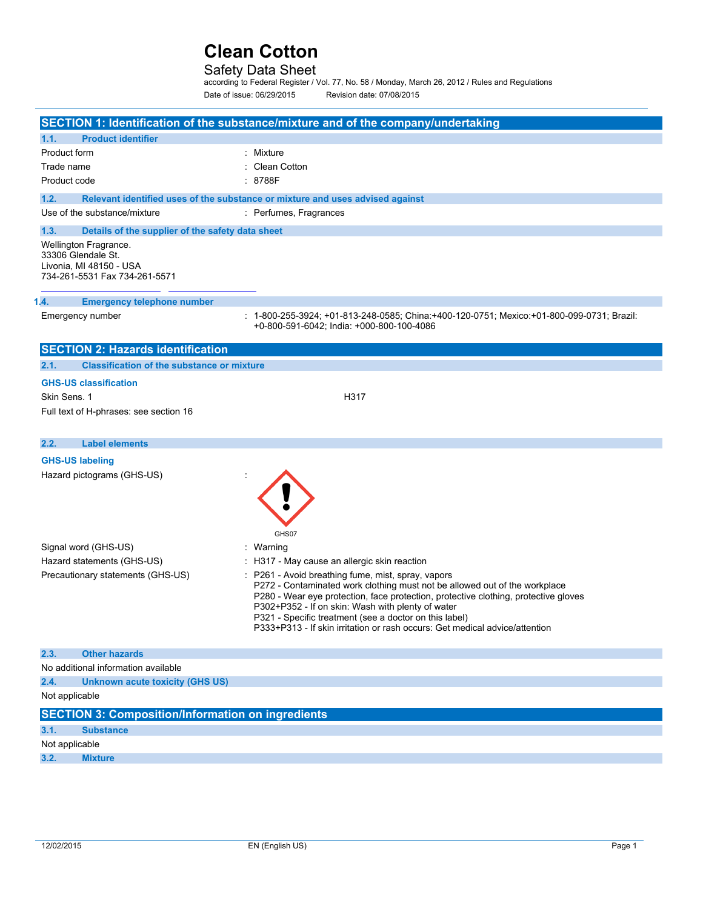## Safety Data Sheet

according to Federal Register / Vol. 77, No. 58 / Monday, March 26, 2012 / Rules and Regulations Date of issue: 06/29/2015 Revision date: 07/08/2015

|                                                                                                         | SECTION 1: Identification of the substance/mixture and of the company/undertaking                                                                                                                                                                                                                                                                                                                                     |
|---------------------------------------------------------------------------------------------------------|-----------------------------------------------------------------------------------------------------------------------------------------------------------------------------------------------------------------------------------------------------------------------------------------------------------------------------------------------------------------------------------------------------------------------|
| <b>Product identifier</b><br>1.1.                                                                       |                                                                                                                                                                                                                                                                                                                                                                                                                       |
| Product form                                                                                            | : Mixture                                                                                                                                                                                                                                                                                                                                                                                                             |
| Trade name                                                                                              | : Clean Cotton                                                                                                                                                                                                                                                                                                                                                                                                        |
| Product code                                                                                            | : 8788F                                                                                                                                                                                                                                                                                                                                                                                                               |
| 1.2.                                                                                                    | Relevant identified uses of the substance or mixture and uses advised against                                                                                                                                                                                                                                                                                                                                         |
| Use of the substance/mixture                                                                            | : Perfumes, Fragrances                                                                                                                                                                                                                                                                                                                                                                                                |
| 1.3.<br>Details of the supplier of the safety data sheet                                                |                                                                                                                                                                                                                                                                                                                                                                                                                       |
| Wellington Fragrance.<br>33306 Glendale St.<br>Livonia, MI 48150 - USA<br>734-261-5531 Fax 734-261-5571 |                                                                                                                                                                                                                                                                                                                                                                                                                       |
| 1.4.<br><b>Emergency telephone number</b>                                                               |                                                                                                                                                                                                                                                                                                                                                                                                                       |
| Emergency number                                                                                        | : 1-800-255-3924; +01-813-248-0585; China:+400-120-0751; Mexico:+01-800-099-0731; Brazil:<br>+0-800-591-6042; India: +000-800-100-4086                                                                                                                                                                                                                                                                                |
| <b>SECTION 2: Hazards identification</b>                                                                |                                                                                                                                                                                                                                                                                                                                                                                                                       |
| 2.1.<br><b>Classification of the substance or mixture</b>                                               |                                                                                                                                                                                                                                                                                                                                                                                                                       |
| <b>GHS-US classification</b>                                                                            |                                                                                                                                                                                                                                                                                                                                                                                                                       |
| Skin Sens. 1                                                                                            | H317                                                                                                                                                                                                                                                                                                                                                                                                                  |
| Full text of H-phrases: see section 16                                                                  |                                                                                                                                                                                                                                                                                                                                                                                                                       |
|                                                                                                         |                                                                                                                                                                                                                                                                                                                                                                                                                       |
| <b>Label elements</b><br>2.2.                                                                           |                                                                                                                                                                                                                                                                                                                                                                                                                       |
| <b>GHS-US labeling</b>                                                                                  |                                                                                                                                                                                                                                                                                                                                                                                                                       |
| Hazard pictograms (GHS-US)                                                                              | GHS07                                                                                                                                                                                                                                                                                                                                                                                                                 |
| Signal word (GHS-US)                                                                                    | : Warning                                                                                                                                                                                                                                                                                                                                                                                                             |
| Hazard statements (GHS-US)                                                                              | : H317 - May cause an allergic skin reaction                                                                                                                                                                                                                                                                                                                                                                          |
| Precautionary statements (GHS-US)                                                                       | : P261 - Avoid breathing fume, mist, spray, vapors<br>P272 - Contaminated work clothing must not be allowed out of the workplace<br>P280 - Wear eye protection, face protection, protective clothing, protective gloves<br>P302+P352 - If on skin: Wash with plenty of water<br>P321 - Specific treatment (see a doctor on this label)<br>P333+P313 - If skin irritation or rash occurs: Get medical advice/attention |
| 2.3.<br><b>Other hazards</b>                                                                            |                                                                                                                                                                                                                                                                                                                                                                                                                       |
| No additional information available                                                                     |                                                                                                                                                                                                                                                                                                                                                                                                                       |
| 2.4.<br>Unknown acute toxicity (GHS US)                                                                 |                                                                                                                                                                                                                                                                                                                                                                                                                       |
| Not applicable                                                                                          |                                                                                                                                                                                                                                                                                                                                                                                                                       |
| <b>SECTION 3: Composition/Information on ingredients</b>                                                |                                                                                                                                                                                                                                                                                                                                                                                                                       |
| 3.1.<br><b>Substance</b>                                                                                |                                                                                                                                                                                                                                                                                                                                                                                                                       |
| Not applicable                                                                                          |                                                                                                                                                                                                                                                                                                                                                                                                                       |
| 3.2.<br><b>Mixture</b>                                                                                  |                                                                                                                                                                                                                                                                                                                                                                                                                       |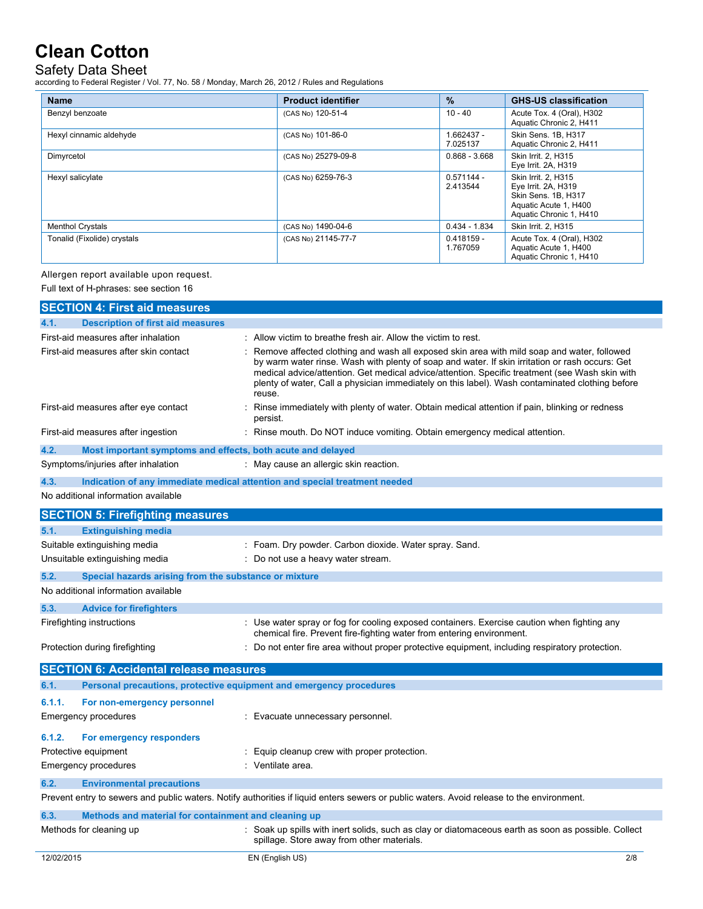## Safety Data Sheet

according to Federal Register / Vol. 77, No. 58 / Monday, March 26, 2012 / Rules and Regulations

| <b>Name</b>                 | <b>Product identifier</b> | $\frac{9}{6}$            | <b>GHS-US classification</b>                                                                                          |
|-----------------------------|---------------------------|--------------------------|-----------------------------------------------------------------------------------------------------------------------|
| Benzyl benzoate             | (CAS No) 120-51-4         | $10 - 40$                | Acute Tox. 4 (Oral), H302<br>Aquatic Chronic 2, H411                                                                  |
| Hexyl cinnamic aldehyde     | (CAS No) 101-86-0         | 1.662437 -<br>7.025137   | Skin Sens. 1B, H317<br>Aquatic Chronic 2, H411                                                                        |
| Dimyrcetol                  | (CAS No) 25279-09-8       | $0.868 - 3.668$          | Skin Irrit. 2. H315<br>Eye Irrit. 2A, H319                                                                            |
| Hexyl salicylate            | (CAS No) 6259-76-3        | $0.571144 -$<br>2.413544 | Skin Irrit. 2. H315<br>Eye Irrit. 2A, H319<br>Skin Sens, 1B, H317<br>Aquatic Acute 1, H400<br>Aquatic Chronic 1, H410 |
| <b>Menthol Crystals</b>     | (CAS No) 1490-04-6        | $0.434 - 1.834$          | Skin Irrit. 2. H315                                                                                                   |
| Tonalid (Fixolide) crystals | (CAS No) 21145-77-7       | $0.418159 -$<br>1.767059 | Acute Tox. 4 (Oral), H302<br>Aquatic Acute 1, H400<br>Aquatic Chronic 1, H410                                         |

### Allergen report available upon request.

Full text of H-phrases: see section 16

| <b>SECTION 4: First aid measures</b>                                        |                                                                                                                                                                                                                                                                                                                                                                                                                |
|-----------------------------------------------------------------------------|----------------------------------------------------------------------------------------------------------------------------------------------------------------------------------------------------------------------------------------------------------------------------------------------------------------------------------------------------------------------------------------------------------------|
| <b>Description of first aid measures</b><br>4.1.                            |                                                                                                                                                                                                                                                                                                                                                                                                                |
| First-aid measures after inhalation                                         | : Allow victim to breathe fresh air. Allow the victim to rest.                                                                                                                                                                                                                                                                                                                                                 |
| First-aid measures after skin contact                                       | : Remove affected clothing and wash all exposed skin area with mild soap and water, followed<br>by warm water rinse. Wash with plenty of soap and water. If skin irritation or rash occurs: Get<br>medical advice/attention. Get medical advice/attention. Specific treatment (see Wash skin with<br>plenty of water, Call a physician immediately on this label). Wash contaminated clothing before<br>reuse. |
| First-aid measures after eye contact                                        | Rinse immediately with plenty of water. Obtain medical attention if pain, blinking or redness<br>persist.                                                                                                                                                                                                                                                                                                      |
| First-aid measures after ingestion                                          | : Rinse mouth. Do NOT induce vomiting. Obtain emergency medical attention.                                                                                                                                                                                                                                                                                                                                     |
| 4.2.<br>Most important symptoms and effects, both acute and delayed         |                                                                                                                                                                                                                                                                                                                                                                                                                |
| Symptoms/injuries after inhalation                                          | : May cause an allergic skin reaction.                                                                                                                                                                                                                                                                                                                                                                         |
| 4.3.                                                                        | Indication of any immediate medical attention and special treatment needed                                                                                                                                                                                                                                                                                                                                     |
| No additional information available                                         |                                                                                                                                                                                                                                                                                                                                                                                                                |
| <b>SECTION 5: Firefighting measures</b>                                     |                                                                                                                                                                                                                                                                                                                                                                                                                |
| <b>Extinguishing media</b><br>5.1.                                          |                                                                                                                                                                                                                                                                                                                                                                                                                |
| Suitable extinguishing media                                                | : Foam. Dry powder. Carbon dioxide. Water spray. Sand.                                                                                                                                                                                                                                                                                                                                                         |
| Unsuitable extinguishing media                                              | : Do not use a heavy water stream.                                                                                                                                                                                                                                                                                                                                                                             |
| 5.2.<br>Special hazards arising from the substance or mixture               |                                                                                                                                                                                                                                                                                                                                                                                                                |
| No additional information available                                         |                                                                                                                                                                                                                                                                                                                                                                                                                |
| 5.3.<br><b>Advice for firefighters</b>                                      |                                                                                                                                                                                                                                                                                                                                                                                                                |
| Firefighting instructions                                                   | : Use water spray or fog for cooling exposed containers. Exercise caution when fighting any<br>chemical fire. Prevent fire-fighting water from entering environment.                                                                                                                                                                                                                                           |
| Protection during firefighting                                              | : Do not enter fire area without proper protective equipment, including respiratory protection.                                                                                                                                                                                                                                                                                                                |
| <b>SECTION 6: Accidental release measures</b>                               |                                                                                                                                                                                                                                                                                                                                                                                                                |
| 6.1.<br>Personal precautions, protective equipment and emergency procedures |                                                                                                                                                                                                                                                                                                                                                                                                                |
| 6.1.1.<br>For non-emergency personnel                                       |                                                                                                                                                                                                                                                                                                                                                                                                                |
| <b>Emergency procedures</b>                                                 | : Evacuate unnecessary personnel.                                                                                                                                                                                                                                                                                                                                                                              |
| 6.1.2.<br>For emergency responders                                          |                                                                                                                                                                                                                                                                                                                                                                                                                |
| Protective equipment                                                        | : Equip cleanup crew with proper protection.                                                                                                                                                                                                                                                                                                                                                                   |
| Emergency procedures                                                        | : Ventilate area.                                                                                                                                                                                                                                                                                                                                                                                              |
| 6.2.<br><b>Environmental precautions</b>                                    |                                                                                                                                                                                                                                                                                                                                                                                                                |
|                                                                             | Prevent entry to sewers and public waters. Notify authorities if liquid enters sewers or public waters. Avoid release to the environment.                                                                                                                                                                                                                                                                      |
| 6.3.<br>Methods and material for containment and cleaning up                |                                                                                                                                                                                                                                                                                                                                                                                                                |
| Methods for cleaning up                                                     | : Soak up spills with inert solids, such as clay or diatomaceous earth as soon as possible. Collect<br>spillage. Store away from other materials.                                                                                                                                                                                                                                                              |
| 12/02/2015                                                                  | 2/8<br>EN (English US)                                                                                                                                                                                                                                                                                                                                                                                         |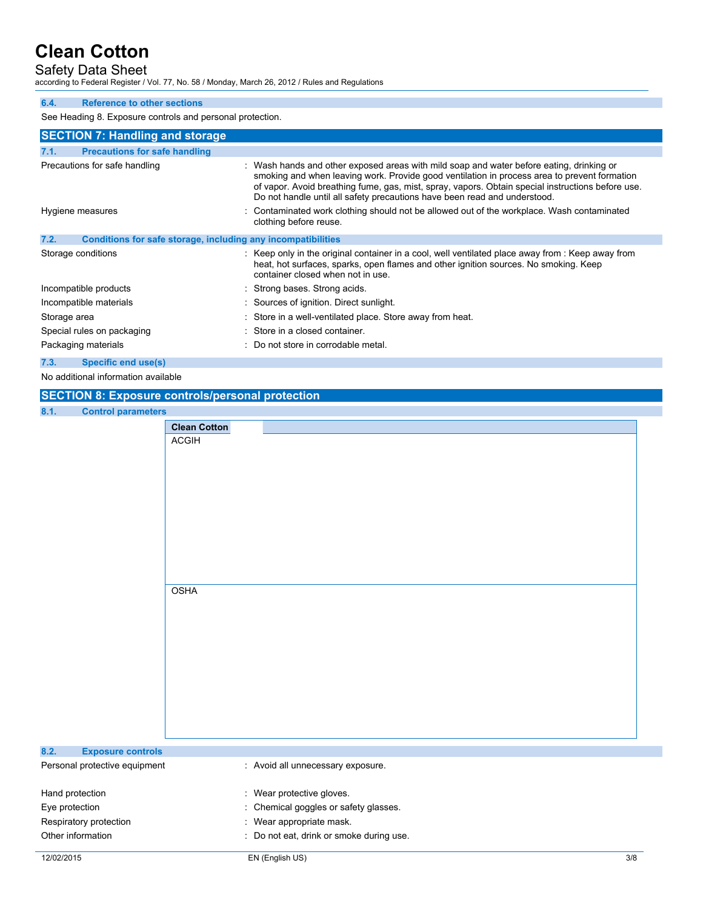Safety Data Sheet

according to Federal Register / Vol. 77, No. 58 / Monday, March 26, 2012 / Rules and Regulations

### **6.4. Reference to other sections**

See Heading 8. Exposure controls and personal protection.

| <b>SECTION 7: Handling and storage</b>                               |                                                                                                                                                                                                                                                                                                                                                                            |
|----------------------------------------------------------------------|----------------------------------------------------------------------------------------------------------------------------------------------------------------------------------------------------------------------------------------------------------------------------------------------------------------------------------------------------------------------------|
| <b>Precautions for safe handling</b><br>7.1.                         |                                                                                                                                                                                                                                                                                                                                                                            |
| Precautions for safe handling                                        | : Wash hands and other exposed areas with mild soap and water before eating, drinking or<br>smoking and when leaving work. Provide good ventilation in process area to prevent formation<br>of vapor. Avoid breathing fume, gas, mist, spray, vapors. Obtain special instructions before use.<br>Do not handle until all safety precautions have been read and understood. |
| Hygiene measures                                                     | : Contaminated work clothing should not be allowed out of the workplace. Wash contaminated<br>clothing before reuse.                                                                                                                                                                                                                                                       |
| 7.2.<br>Conditions for safe storage, including any incompatibilities |                                                                                                                                                                                                                                                                                                                                                                            |
| Storage conditions                                                   | : Keep only in the original container in a cool, well ventilated place away from : Keep away from<br>heat, hot surfaces, sparks, open flames and other ignition sources. No smoking. Keep<br>container closed when not in use.                                                                                                                                             |
| Incompatible products                                                | : Strong bases. Strong acids.                                                                                                                                                                                                                                                                                                                                              |
| Incompatible materials                                               | : Sources of ignition. Direct sunlight.                                                                                                                                                                                                                                                                                                                                    |
| Storage area                                                         | : Store in a well-ventilated place. Store away from heat.                                                                                                                                                                                                                                                                                                                  |
| Special rules on packaging                                           | : Store in a closed container.                                                                                                                                                                                                                                                                                                                                             |
| Packaging materials                                                  | : Do not store in corrodable metal.                                                                                                                                                                                                                                                                                                                                        |
| 7.3.<br>Specific end use(s)                                          |                                                                                                                                                                                                                                                                                                                                                                            |

#### No additional information available

## **SECTION 8: Exposure controls/personal protection**

**8.1. C** 

| 8.1.<br><b>Control parameters</b> |                                   |                                          |     |
|-----------------------------------|-----------------------------------|------------------------------------------|-----|
|                                   | <b>Clean Cotton</b>               |                                          |     |
|                                   | <b>ACGIH</b>                      |                                          |     |
|                                   |                                   |                                          |     |
|                                   |                                   |                                          |     |
|                                   |                                   |                                          |     |
|                                   |                                   |                                          |     |
|                                   |                                   |                                          |     |
|                                   |                                   |                                          |     |
|                                   |                                   |                                          |     |
|                                   |                                   |                                          |     |
|                                   |                                   |                                          |     |
|                                   |                                   |                                          |     |
|                                   | <b>OSHA</b>                       |                                          |     |
|                                   |                                   |                                          |     |
|                                   |                                   |                                          |     |
|                                   |                                   |                                          |     |
|                                   |                                   |                                          |     |
|                                   |                                   |                                          |     |
|                                   |                                   |                                          |     |
|                                   |                                   |                                          |     |
|                                   |                                   |                                          |     |
|                                   |                                   |                                          |     |
|                                   |                                   |                                          |     |
| 8.2.<br><b>Exposure controls</b>  |                                   |                                          |     |
| Personal protective equipment     | : Avoid all unnecessary exposure. |                                          |     |
| Hand protection                   | : Wear protective gloves.         |                                          |     |
| Eye protection                    |                                   | Chemical goggles or safety glasses.      |     |
| Respiratory protection            | Wear appropriate mask.            |                                          |     |
| Other information                 |                                   | : Do not eat, drink or smoke during use. |     |
| 12/02/2015                        | EN (English US)                   |                                          | 3/8 |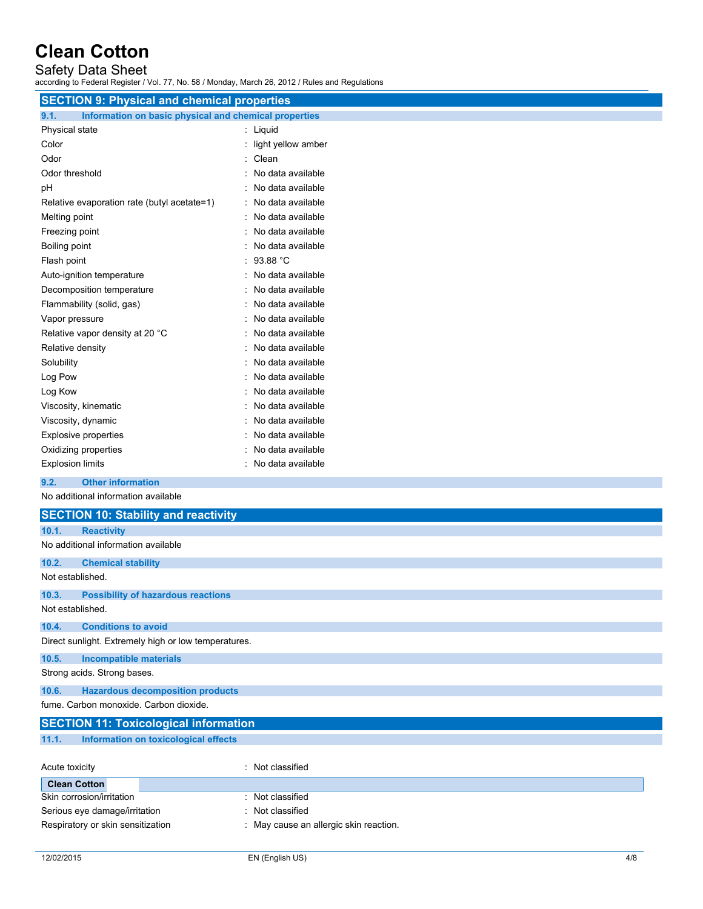### Safety Data Sheet

according to Federal Register / Vol. 77, No. 58 / Monday, March 26, 2012 / Rules and Regulations

| <b>SECTION 9: Physical and chemical properties</b>            |                    |
|---------------------------------------------------------------|--------------------|
| 9.1.<br>Information on basic physical and chemical properties |                    |
| Physical state                                                | : Liquid           |
| Color                                                         | light yellow amber |
| Odor                                                          | Clean              |
| Odor threshold                                                | No data available  |
| pH                                                            | No data available  |
| Relative evaporation rate (butyl acetate=1)                   | No data available  |
| Melting point                                                 | No data available  |
| Freezing point                                                | No data available  |
| Boiling point                                                 | No data available  |
| Flash point                                                   | 93.88 °C           |
| Auto-ignition temperature                                     | No data available  |
| Decomposition temperature                                     | No data available  |
| Flammability (solid, gas)                                     | No data available  |
| Vapor pressure                                                | No data available  |
| Relative vapor density at 20 °C                               | No data available  |
| Relative density                                              | No data available  |
| Solubility                                                    | No data available  |
| Log Pow                                                       | No data available  |
| Log Kow                                                       | No data available  |
| Viscosity, kinematic                                          | No data available  |
| Viscosity, dynamic                                            | No data available  |
| Explosive properties                                          | No data available  |
| Oxidizing properties                                          | No data available  |
| <b>Explosion limits</b>                                       | No data available  |
| 9.2.<br><b>Other information</b>                              |                    |

No additional information available

|                             | <b>SECTION 10: Stability and reactivity</b>          |  |
|-----------------------------|------------------------------------------------------|--|
| 10.1.                       | <b>Reactivity</b>                                    |  |
|                             | No additional information available                  |  |
| 10.2.                       | <b>Chemical stability</b>                            |  |
| Not established.            |                                                      |  |
| 10.3.                       | <b>Possibility of hazardous reactions</b>            |  |
| Not established.            |                                                      |  |
| 10.4.                       | <b>Conditions to avoid</b>                           |  |
|                             | Direct sunlight. Extremely high or low temperatures. |  |
| 10.5.                       | <b>Incompatible materials</b>                        |  |
| Strong acids. Strong bases. |                                                      |  |
| 10.6.                       | <b>Hazardous decomposition products</b>              |  |
|                             | fume. Carbon monoxide. Carbon dioxide.               |  |
|                             | <b>SECTION 11: Toxicological information</b>         |  |

**11.1. Information on toxicological effects**

| Acute toxicity                    | : Not classified                       |
|-----------------------------------|----------------------------------------|
| <b>Clean Cotton</b>               |                                        |
| Skin corrosion/irritation         | : Not classified                       |
| Serious eye damage/irritation     | : Not classified                       |
| Respiratory or skin sensitization | : May cause an allergic skin reaction. |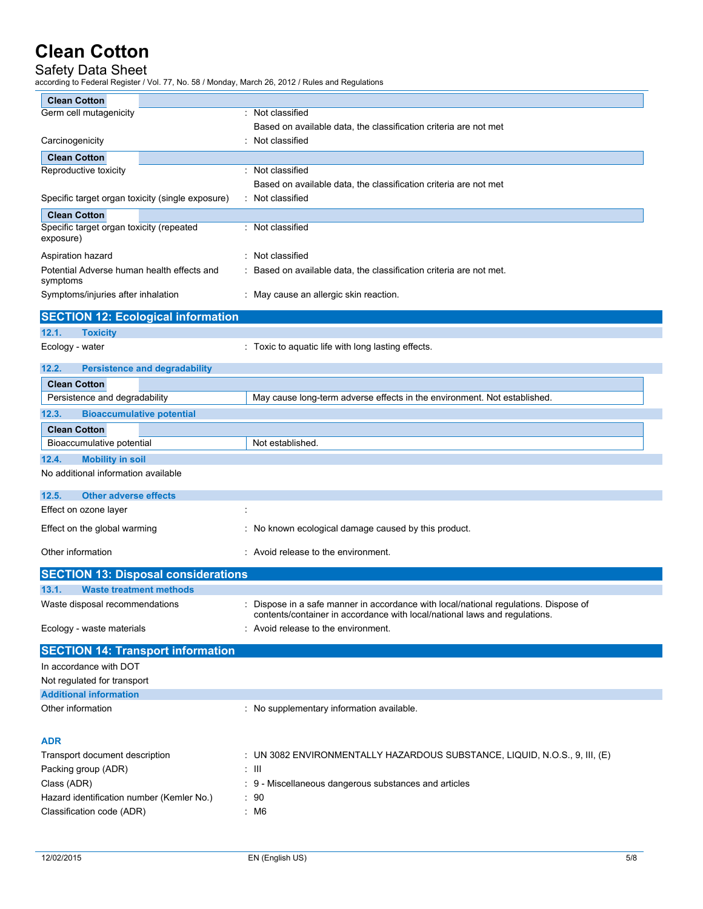## Safety Data Sheet

according to Federal Register / Vol. 77, No. 58 / Monday, March 26, 2012 / Rules and Regulations

| <b>Clean Cotton</b>                                    |                                                                                                                                                                  |
|--------------------------------------------------------|------------------------------------------------------------------------------------------------------------------------------------------------------------------|
| Germ cell mutagenicity                                 | : Not classified                                                                                                                                                 |
|                                                        | Based on available data, the classification criteria are not met                                                                                                 |
| Carcinogenicity                                        | Not classified                                                                                                                                                   |
| <b>Clean Cotton</b>                                    |                                                                                                                                                                  |
| Reproductive toxicity                                  | : Not classified                                                                                                                                                 |
|                                                        | Based on available data, the classification criteria are not met                                                                                                 |
| Specific target organ toxicity (single exposure)       | : Not classified                                                                                                                                                 |
| <b>Clean Cotton</b>                                    |                                                                                                                                                                  |
| Specific target organ toxicity (repeated<br>exposure)  | : Not classified                                                                                                                                                 |
| Aspiration hazard                                      | : Not classified                                                                                                                                                 |
| Potential Adverse human health effects and<br>symptoms | : Based on available data, the classification criteria are not met.                                                                                              |
| Symptoms/injuries after inhalation                     | : May cause an allergic skin reaction.                                                                                                                           |
| <b>SECTION 12: Ecological information</b>              |                                                                                                                                                                  |
| 12.1.<br><b>Toxicity</b>                               |                                                                                                                                                                  |
| Ecology - water                                        | : Toxic to aquatic life with long lasting effects.                                                                                                               |
| 12.2.<br><b>Persistence and degradability</b>          |                                                                                                                                                                  |
| <b>Clean Cotton</b>                                    |                                                                                                                                                                  |
| Persistence and degradability                          | May cause long-term adverse effects in the environment. Not established.                                                                                         |
| 12.3.<br><b>Bioaccumulative potential</b>              |                                                                                                                                                                  |
| <b>Clean Cotton</b>                                    |                                                                                                                                                                  |
| Bioaccumulative potential                              | Not established.                                                                                                                                                 |
| 12.4.<br><b>Mobility in soil</b>                       |                                                                                                                                                                  |
| No additional information available                    |                                                                                                                                                                  |
| 12.5.<br><b>Other adverse effects</b>                  |                                                                                                                                                                  |
| Effect on ozone layer                                  | ÷                                                                                                                                                                |
| Effect on the global warming                           | : No known ecological damage caused by this product.                                                                                                             |
| Other information                                      | : Avoid release to the environment.                                                                                                                              |
| <b>SECTION 13: Disposal considerations</b>             |                                                                                                                                                                  |
| 13.1.<br><b>Waste treatment methods</b>                |                                                                                                                                                                  |
| Waste disposal recommendations                         | Dispose in a safe manner in accordance with local/national regulations. Dispose of<br>contents/container in accordance with local/national laws and regulations. |
| Ecology - waste materials                              | Avoid release to the environment.                                                                                                                                |
| <b>SECTION 14: Transport information</b>               |                                                                                                                                                                  |
| In accordance with DOT                                 |                                                                                                                                                                  |
| Not regulated for transport                            |                                                                                                                                                                  |
| <b>Additional information</b>                          |                                                                                                                                                                  |
| Other information                                      | : No supplementary information available.                                                                                                                        |
| <b>ADR</b>                                             |                                                                                                                                                                  |
| Transport document description                         | : UN 3082 ENVIRONMENTALLY HAZARDOUS SUBSTANCE, LIQUID, N.O.S., 9, III, (E)                                                                                       |
| Packing group (ADR)                                    | : III                                                                                                                                                            |
| Class (ADR)                                            | : 9 - Miscellaneous dangerous substances and articles                                                                                                            |
| Hazard identification number (Kemler No.)              | : 90                                                                                                                                                             |
| Classification code (ADR)                              | : M6                                                                                                                                                             |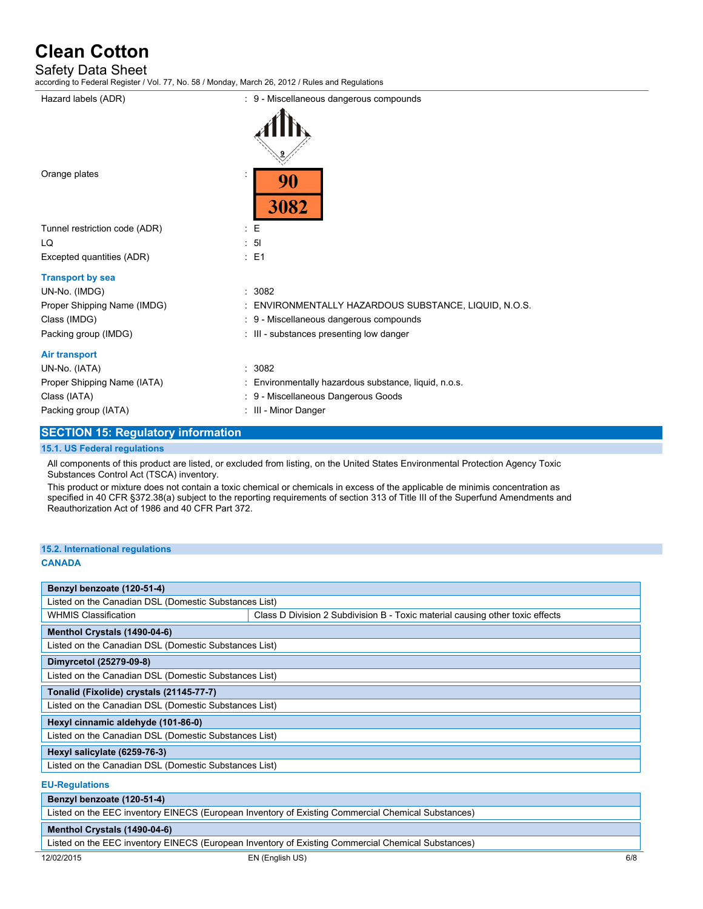### Safety Data Sheet

according to Federal Register / Vol. 77, No. 58 / Monday, March 26, 2012 / Rules and Regulations

| Hazard labels (ADR)           | : 9 - Miscellaneous dangerous compounds               |
|-------------------------------|-------------------------------------------------------|
|                               |                                                       |
| Orange plates                 | 90<br>3082                                            |
| Tunnel restriction code (ADR) | $\mathbf{E}$                                          |
| LQ                            | $\therefore$ 5                                        |
| Excepted quantities (ADR)     | : E1                                                  |
| <b>Transport by sea</b>       |                                                       |
| UN-No. (IMDG)                 | : 3082                                                |
| Proper Shipping Name (IMDG)   | : ENVIRONMENTALLY HAZARDOUS SUBSTANCE, LIQUID, N.O.S. |
| Class (IMDG)                  | : 9 - Miscellaneous dangerous compounds               |
| Packing group (IMDG)          | : III - substances presenting low danger              |
| <b>Air transport</b>          |                                                       |
| UN-No. (IATA)                 | : 3082                                                |
| Proper Shipping Name (IATA)   | : Environmentally hazardous substance, liquid, n.o.s. |
| Class (IATA)                  | : 9 - Miscellaneous Dangerous Goods                   |
| Packing group (IATA)          | : III - Minor Danger                                  |
|                               |                                                       |

### **SECTION 15: Regulatory information**

#### **15.1. US Federal regulations**

All components of this product are listed, or excluded from listing, on the United States Environmental Protection Agency Toxic Substances Control Act (TSCA) inventory.

This product or mixture does not contain a toxic chemical or chemicals in excess of the applicable de minimis concentration as specified in 40 CFR §372.38(a) subject to the reporting requirements of section 313 of Title III of the Superfund Amendments and Reauthorization Act of 1986 and 40 CFR Part 372.

## **15.2. International regulations**

#### **CANADA**

| Benzyl benzoate (120-51-4)                            |                                                                               |  |  |
|-------------------------------------------------------|-------------------------------------------------------------------------------|--|--|
| Listed on the Canadian DSL (Domestic Substances List) |                                                                               |  |  |
| <b>WHMIS Classification</b>                           | Class D Division 2 Subdivision B - Toxic material causing other toxic effects |  |  |
| Menthol Crystals (1490-04-6)                          |                                                                               |  |  |
|                                                       | Listed on the Canadian DSL (Domestic Substances List)                         |  |  |
| Dimyrcetol (25279-09-8)                               |                                                                               |  |  |
| Listed on the Canadian DSL (Domestic Substances List) |                                                                               |  |  |
| Tonalid (Fixolide) crystals (21145-77-7)              |                                                                               |  |  |
| Listed on the Canadian DSL (Domestic Substances List) |                                                                               |  |  |
| Hexyl cinnamic aldehyde (101-86-0)                    |                                                                               |  |  |
| Listed on the Canadian DSL (Domestic Substances List) |                                                                               |  |  |
| Hexyl salicylate (6259-76-3)                          |                                                                               |  |  |
| Listed on the Canadian DSL (Domestic Substances List) |                                                                               |  |  |
| <b>EU-Regulations</b>                                 |                                                                               |  |  |

### **Benzyl benzoate (120-51-4)**

Listed on the EEC inventory EINECS (European Inventory of Existing Commercial Chemical Substances)

### **Menthol Crystals (1490-04-6)**

Listed on the EEC inventory EINECS (European Inventory of Existing Commercial Chemical Substances)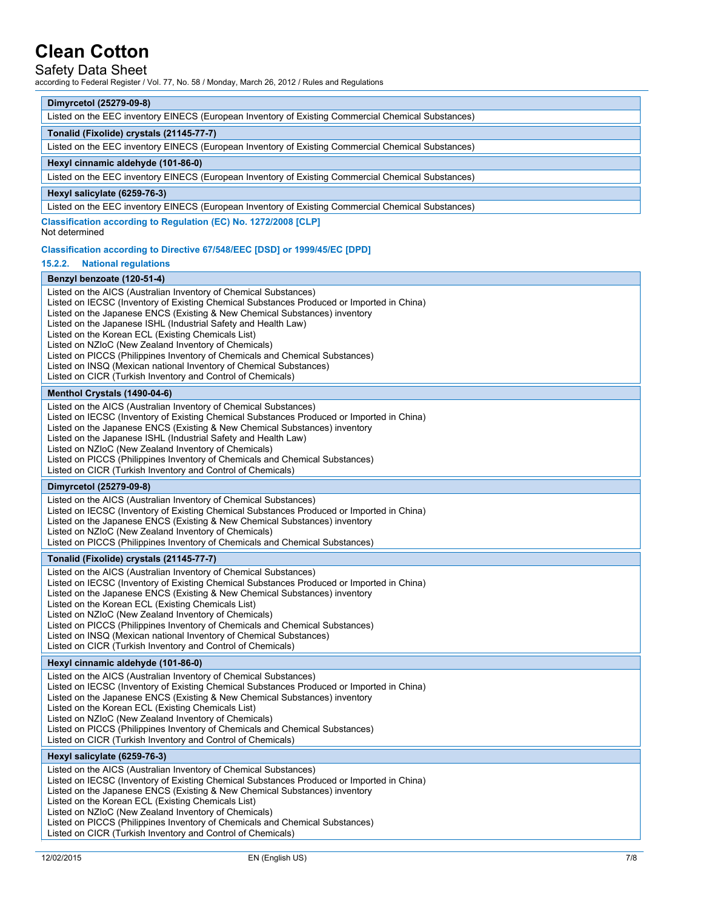## Safety Data Sheet

according to Federal Register / Vol. 77, No. 58 / Monday, March 26, 2012 / Rules and Regulations

| according to Federal Regional Prof. Fr, No. 60 Phonical, Inidion 20, 2012 Pridico dha Rega                                                                                                                                                                                                                                                                                                                                                                                                                                                                                                                                                       |
|--------------------------------------------------------------------------------------------------------------------------------------------------------------------------------------------------------------------------------------------------------------------------------------------------------------------------------------------------------------------------------------------------------------------------------------------------------------------------------------------------------------------------------------------------------------------------------------------------------------------------------------------------|
| Dimyrcetol (25279-09-8)                                                                                                                                                                                                                                                                                                                                                                                                                                                                                                                                                                                                                          |
| Listed on the EEC inventory EINECS (European Inventory of Existing Commercial Chemical Substances)                                                                                                                                                                                                                                                                                                                                                                                                                                                                                                                                               |
| Tonalid (Fixolide) crystals (21145-77-7)                                                                                                                                                                                                                                                                                                                                                                                                                                                                                                                                                                                                         |
| Listed on the EEC inventory EINECS (European Inventory of Existing Commercial Chemical Substances)                                                                                                                                                                                                                                                                                                                                                                                                                                                                                                                                               |
| Hexyl cinnamic aldehyde (101-86-0)                                                                                                                                                                                                                                                                                                                                                                                                                                                                                                                                                                                                               |
| Listed on the EEC inventory EINECS (European Inventory of Existing Commercial Chemical Substances)                                                                                                                                                                                                                                                                                                                                                                                                                                                                                                                                               |
| Hexyl salicylate (6259-76-3)                                                                                                                                                                                                                                                                                                                                                                                                                                                                                                                                                                                                                     |
| Listed on the EEC inventory EINECS (European Inventory of Existing Commercial Chemical Substances)                                                                                                                                                                                                                                                                                                                                                                                                                                                                                                                                               |
| Classification according to Regulation (EC) No. 1272/2008 [CLP]<br>Not determined                                                                                                                                                                                                                                                                                                                                                                                                                                                                                                                                                                |
| Classification according to Directive 67/548/EEC [DSD] or 1999/45/EC [DPD]                                                                                                                                                                                                                                                                                                                                                                                                                                                                                                                                                                       |
| 15.2.2.<br><b>National regulations</b>                                                                                                                                                                                                                                                                                                                                                                                                                                                                                                                                                                                                           |
| Benzyl benzoate (120-51-4)                                                                                                                                                                                                                                                                                                                                                                                                                                                                                                                                                                                                                       |
| Listed on the AICS (Australian Inventory of Chemical Substances)<br>Listed on IECSC (Inventory of Existing Chemical Substances Produced or Imported in China)<br>Listed on the Japanese ENCS (Existing & New Chemical Substances) inventory<br>Listed on the Japanese ISHL (Industrial Safety and Health Law)<br>Listed on the Korean ECL (Existing Chemicals List)<br>Listed on NZIoC (New Zealand Inventory of Chemicals)<br>Listed on PICCS (Philippines Inventory of Chemicals and Chemical Substances)<br>Listed on INSQ (Mexican national Inventory of Chemical Substances)<br>Listed on CICR (Turkish Inventory and Control of Chemicals) |
| Menthol Crystals (1490-04-6)                                                                                                                                                                                                                                                                                                                                                                                                                                                                                                                                                                                                                     |
| Listed on the AICS (Australian Inventory of Chemical Substances)<br>Listed on IECSC (Inventory of Existing Chemical Substances Produced or Imported in China)<br>Listed on the Japanese ENCS (Existing & New Chemical Substances) inventory<br>Listed on the Japanese ISHL (Industrial Safety and Health Law)<br>Listed on NZIoC (New Zealand Inventory of Chemicals)<br>Listed on PICCS (Philippines Inventory of Chemicals and Chemical Substances)<br>Listed on CICR (Turkish Inventory and Control of Chemicals)                                                                                                                             |
| Dimyrcetol (25279-09-8)                                                                                                                                                                                                                                                                                                                                                                                                                                                                                                                                                                                                                          |
| Listed on the AICS (Australian Inventory of Chemical Substances)<br>Listed on IECSC (Inventory of Existing Chemical Substances Produced or Imported in China)<br>Listed on the Japanese ENCS (Existing & New Chemical Substances) inventory<br>Listed on NZIoC (New Zealand Inventory of Chemicals)<br>Listed on PICCS (Philippines Inventory of Chemicals and Chemical Substances)                                                                                                                                                                                                                                                              |
| Tonalid (Fixolide) crystals (21145-77-7)                                                                                                                                                                                                                                                                                                                                                                                                                                                                                                                                                                                                         |
| Listed on the AICS (Australian Inventory of Chemical Substances)<br>Listed on IECSC (Inventory of Existing Chemical Substances Produced or Imported in China)<br>Listed on the Japanese ENCS (Existing & New Chemical Substances) inventory<br>Listed on the Korean ECL (Existing Chemicals List)<br>Listed on NZIoC (New Zealand Inventory of Chemicals)<br>Listed on PICCS (Philippines Inventory of Chemicals and Chemical Substances)<br>Listed on INSQ (Mexican national Inventory of Chemical Substances)<br>Listed on CICR (Turkish Inventory and Control of Chemicals)                                                                   |
| Hexyl cinnamic aldehyde (101-86-0)                                                                                                                                                                                                                                                                                                                                                                                                                                                                                                                                                                                                               |
| Listed on the AICS (Australian Inventory of Chemical Substances)<br>Listed on IECSC (Inventory of Existing Chemical Substances Produced or Imported in China)<br>Listed on the Japanese ENCS (Existing & New Chemical Substances) inventory<br>Listed on the Korean ECL (Existing Chemicals List)<br>Listed on NZIoC (New Zealand Inventory of Chemicals)<br>Listed on PICCS (Philippines Inventory of Chemicals and Chemical Substances)<br>Listed on CICR (Turkish Inventory and Control of Chemicals)                                                                                                                                         |
| Hexyl salicylate (6259-76-3)                                                                                                                                                                                                                                                                                                                                                                                                                                                                                                                                                                                                                     |
| Listed on the AICS (Australian Inventory of Chemical Substances)<br>Listed on IECSC (Inventory of Existing Chemical Substances Produced or Imported in China)<br>Listed on the Japanese ENCS (Existing & New Chemical Substances) inventory<br>Listed on the Korean ECL (Existing Chemicals List)<br>Listed on NZIoC (New Zealand Inventory of Chemicals)<br>Listed on PICCS (Philippines Inventory of Chemicals and Chemical Substances)<br>Listed on CICR (Turkish Inventory and Control of Chemicals)                                                                                                                                         |